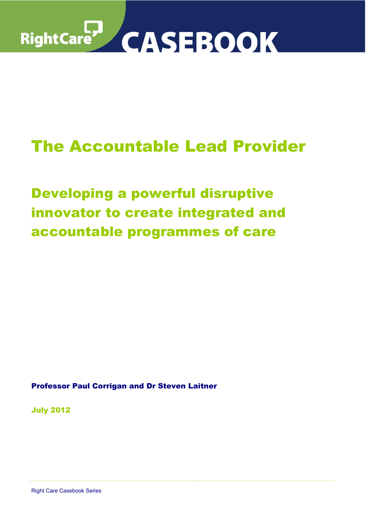

# The Accountable Lead Provider

Developing a powerful disruptive innovator to create integrated and accountable programmes of care

Professor Paul Corrigan and Dr Steven Laitner

July 2012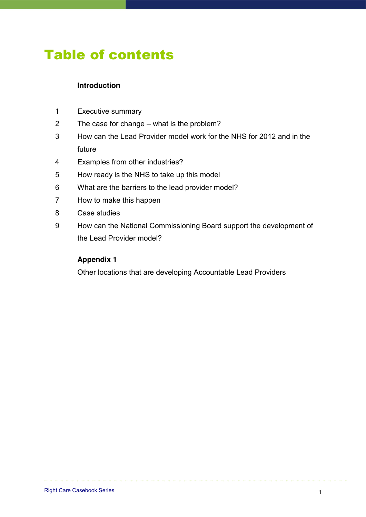### Table of contents

### **Introduction**

- 1 Executive summary
- 2 The case for change what is the problem?
- 3 How can the Lead Provider model work for the NHS for 2012 and in the future
- 4 Examples from other industries?
- 5 How ready is the NHS to take up this model
- 6 What are the barriers to the lead provider model?
- 7 How to make this happen
- 8 Case studies
- 9 How can the National Commissioning Board support the development of the Lead Provider model?

#### **Appendix 1**

Other locations that are developing Accountable Lead Providers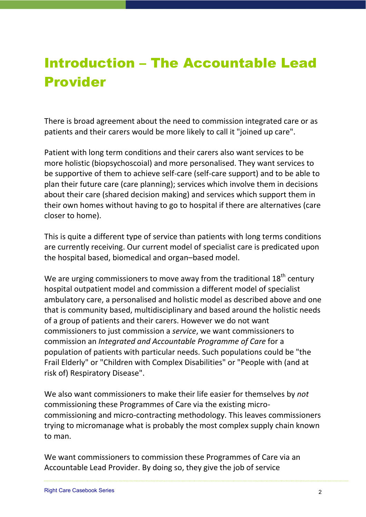# Introduction - The Accountable Lead Provider

There is broad agreement about the need to commission integrated care or as patients and their carers would be more likely to call it "joined up care".

Patient with long term conditions and their carers also want services to be more holistic (biopsychoscoial) and more personalised. They want services to be supportive of them to achieve self-care (self-care support) and to be able to plan their future care (care planning); services which involve them in decisions about their care (shared decision making) and services which support them in their own homes without having to go to hospital if there are alternatives (care closer to home).

This is quite a different type of service than patients with long terms conditions are currently receiving. Our current model of specialist care is predicated upon the hospital based, biomedical and organ-based model.

We are urging commissioners to move away from the traditional  $18<sup>th</sup>$  century hospital outpatient model and commission a different model of specialist ambulatory care, a personalised and holistic model as described above and one that is community based, multidisciplinary and based around the holistic needs of a group of patients and their carers. However we do not want commissioners to just commission a *service*, we want commissioners to commission an *Integrated and Accountable Programme of Care* for a population of patients with particular needs. Such populations could be "the Frail Elderly" or "Children with Complex Disabilities" or "People with (and at risk of) Respiratory Disease".

We also want commissioners to make their life easier for themselves by *not* commissioning these Programmes of Care via the existing microcommissioning and micro-contracting methodology. This leaves commissioners trying to micromanage what is probably the most complex supply chain known to man.

We want commissioners to commission these Programmes of Care via an Accountable Lead Provider. By doing so, they give the job of service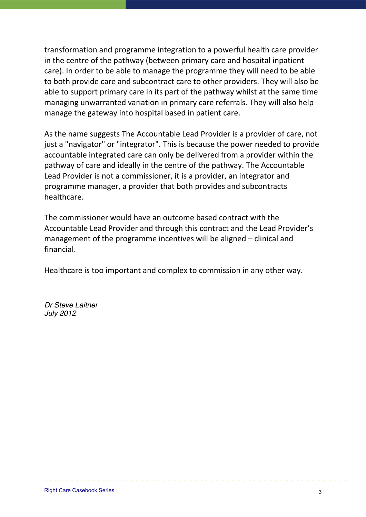transformation and programme integration to a powerful health care provider in the centre of the pathway (between primary care and hospital inpatient care). In order to be able to manage the programme they will need to be able to both provide care and subcontract care to other providers. They will also be able to support primary care in its part of the pathway whilst at the same time managing unwarranted variation in primary care referrals. They will also help manage the gateway into hospital based in patient care.

As the name suggests The Accountable Lead Provider is a provider of care, not just a "navigator" or "integrator". This is because the power needed to provide accountable integrated care can only be delivered from a provider within the pathway of care and ideally in the centre of the pathway. The Accountable Lead Provider is not a commissioner, it is a provider, an integrator and programme manager, a provider that both provides and subcontracts healthcare.

The commissioner would have an outcome based contract with the Accountable Lead Provider and through this contract and the Lead Provider's management of the programme incentives will be aligned  $-$  clinical and financial.

Healthcare is too important and complex to commission in any other way.

*Dr Steve Laitner July 2012*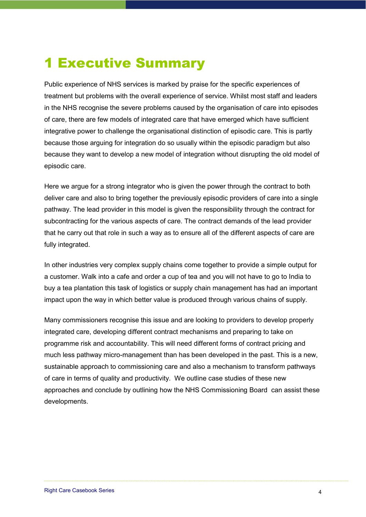## 1 Executive Summary

Public experience of NHS services is marked by praise for the specific experiences of treatment but problems with the overall experience of service. Whilst most staff and leaders in the NHS recognise the severe problems caused by the organisation of care into episodes of care, there are few models of integrated care that have emerged which have sufficient integrative power to challenge the organisational distinction of episodic care. This is partly because those arguing for integration do so usually within the episodic paradigm but also because they want to develop a new model of integration without disrupting the old model of episodic care.

Here we argue for a strong integrator who is given the power through the contract to both deliver care and also to bring together the previously episodic providers of care into a single pathway. The lead provider in this model is given the responsibility through the contract for subcontracting for the various aspects of care. The contract demands of the lead provider that he carry out that role in such a way as to ensure all of the different aspects of care are fully integrated.

In other industries very complex supply chains come together to provide a simple output for a customer. Walk into a cafe and order a cup of tea and you will not have to go to India to buy a tea plantation this task of logistics or supply chain management has had an important impact upon the way in which better value is produced through various chains of supply.

Many commissioners recognise this issue and are looking to providers to develop properly integrated care, developing different contract mechanisms and preparing to take on programme risk and accountability. This will need different forms of contract pricing and much less pathway micro-management than has been developed in the past. This is a new, sustainable approach to commissioning care and also a mechanism to transform pathways of care in terms of quality and productivity. We outline case studies of these new approaches and conclude by outlining how the NHS Commissioning Board can assist these developments.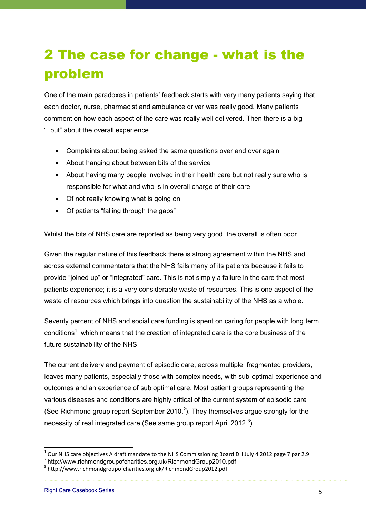# 2 The case for change - what is the problem

One of the main paradoxes in patients' feedback starts with very many patients saying that each doctor, nurse, pharmacist and ambulance driver was really good. Many patients comment on how each aspect of the care was really well delivered. Then there is a big "..but" about the overall experience.

- Complaints about being asked the same questions over and over again
- About hanging about between bits of the service
- About having many people involved in their health care but not really sure who is responsible for what and who is in overall charge of their care
- Of not really knowing what is going on
- Of patients "falling through the gaps"

Whilst the bits of NHS care are reported as being very good, the overall is often poor.

Given the regular nature of this feedback there is strong agreement within the NHS and across external commentators that the NHS fails many of its patients because it fails to provide "joined up" or "integrated" care. This is not simply a failure in the care that most patients experience; it is a very considerable waste of resources. This is one aspect of the waste of resources which brings into question the sustainability of the NHS as a whole.

Seventy percent of NHS and social care funding is spent on caring for people with long term conditions<sup>1</sup>, which means that the creation of integrated care is the core business of the future sustainability of the NHS.

The current delivery and payment of episodic care, across multiple, fragmented providers, leaves many patients, especially those with complex needs, with sub-optimal experience and outcomes and an experience of sub optimal care. Most patient groups representing the various diseases and conditions are highly critical of the current system of episodic care (See Richmond group report September 2010.<sup>2</sup>). They themselves argue strongly for the necessity of real integrated care (See same group report April 2012 $3$ )

 $1$  Our NHS care objectives A draft mandate to the NHS Commissioning Board DH July 4 2012 page 7 par 2.9

<sup>&</sup>lt;sup>2</sup> http://www.richmondgroupofcharities.org.uk/RichmondGroup2010.pdf

 $3$  http://www.richmondgroupofcharities.org.uk/RichmondGroup2012.pdf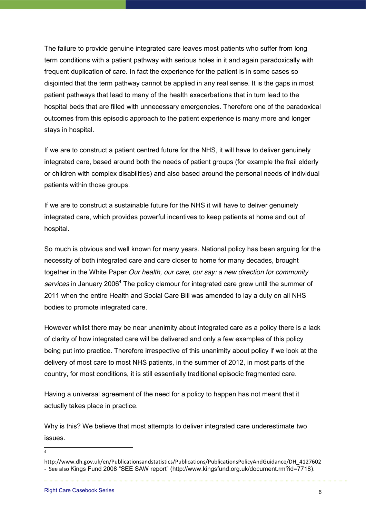The failure to provide genuine integrated care leaves most patients who suffer from long term conditions with a patient pathway with serious holes in it and again paradoxically with frequent duplication of care. In fact the experience for the patient is in some cases so disjointed that the term pathway cannot be applied in any real sense. It is the gaps in most patient pathways that lead to many of the health exacerbations that in turn lead to the hospital beds that are filled with unnecessary emergencies. Therefore one of the paradoxical outcomes from this episodic approach to the patient experience is many more and longer stays in hospital.

If we are to construct a patient centred future for the NHS, it will have to deliver genuinely integrated care, based around both the needs of patient groups (for example the frail elderly or children with complex disabilities) and also based around the personal needs of individual patients within those groups.

If we are to construct a sustainable future for the NHS it will have to deliver genuinely integrated care, which provides powerful incentives to keep patients at home and out of hospital.

So much is obvious and well known for many years. National policy has been arguing for the necessity of both integrated care and care closer to home for many decades, brought together in the White Paper *Our health, our care, our say: a new direction for community services* in January 20064 The policy clamour for integrated care grew until the summer of 2011 when the entire Health and Social Care Bill was amended to lay a duty on all NHS bodies to promote integrated care.

However whilst there may be near unanimity about integrated care as a policy there is a lack of clarity of how integrated care will be delivered and only a few examples of this policy being put into practice. Therefore irrespective of this unanimity about policy if we look at the delivery of most care to most NHS patients, in the summer of 2012, in most parts of the country, for most conditions, it is still essentially traditional episodic fragmented care.

Having a universal agreement of the need for a policy to happen has not meant that it actually takes place in practice.

Why is this? We believe that most attempts to deliver integrated care underestimate two issues.

 $\frac{1}{4}$ 

http://www.dh.gov.uk/en/Publicationsandstatistics/Publications/PublicationsPolicyAndGuidance/DH\_4127602 - See also Kings Fund 2008 "SEE SAW report" (http://www.kingsfund.org.uk/document.rm?id=7718).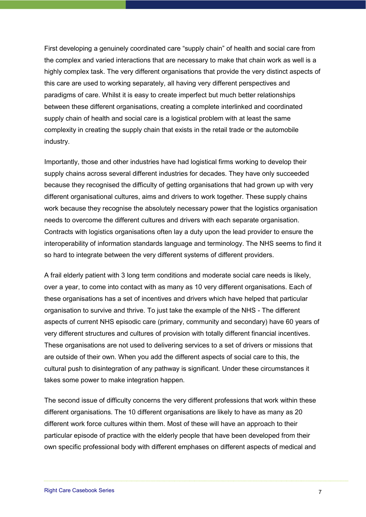First developing a genuinely coordinated care "supply chain" of health and social care from the complex and varied interactions that are necessary to make that chain work as well is a highly complex task. The very different organisations that provide the very distinct aspects of this care are used to working separately, all having very different perspectives and paradigms of care. Whilst it is easy to create imperfect but much better relationships between these different organisations, creating a complete interlinked and coordinated supply chain of health and social care is a logistical problem with at least the same complexity in creating the supply chain that exists in the retail trade or the automobile industry.

Importantly, those and other industries have had logistical firms working to develop their supply chains across several different industries for decades. They have only succeeded because they recognised the difficulty of getting organisations that had grown up with very different organisational cultures, aims and drivers to work together. These supply chains work because they recognise the absolutely necessary power that the logistics organisation needs to overcome the different cultures and drivers with each separate organisation. Contracts with logistics organisations often lay a duty upon the lead provider to ensure the interoperability of information standards language and terminology. The NHS seems to find it so hard to integrate between the very different systems of different providers.

A frail elderly patient with 3 long term conditions and moderate social care needs is likely, over a year, to come into contact with as many as 10 very different organisations. Each of these organisations has a set of incentives and drivers which have helped that particular organisation to survive and thrive. To just take the example of the NHS - The different aspects of current NHS episodic care (primary, community and secondary) have 60 years of very different structures and cultures of provision with totally different financial incentives. These organisations are not used to delivering services to a set of drivers or missions that are outside of their own. When you add the different aspects of social care to this, the cultural push to disintegration of any pathway is significant. Under these circumstances it takes some power to make integration happen.

The second issue of difficulty concerns the very different professions that work within these different organisations. The 10 different organisations are likely to have as many as 20 different work force cultures within them. Most of these will have an approach to their particular episode of practice with the elderly people that have been developed from their own specific professional body with different emphases on different aspects of medical and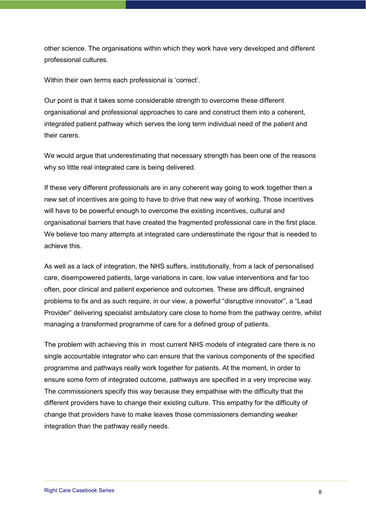other science. The organisations within which they work have very developed and different professional cultures.

Within their own terms each professional is 'correct'.

Our point is that it takes some considerable strength to overcome these different organisational and professional approaches to care and construct them into a coherent, integrated patient pathway which serves the long term individual need of the patient and their carers.

We would arque that underestimating that necessary strength has been one of the reasons why so little real integrated care is being delivered.

If these very different professionals are in any coherent way going to work together then a new set of incentives are going to have to drive that new way of working. Those incentives will have to be powerful enough to overcome the existing incentives, cultural and organisational barriers that have created the fragmented professional care in the first place. We believe too many attempts at integrated care underestimate the rigour that is needed to achieve this.

As well as a lack of integration, the NHS suffers, institutionally, from a lack of personalised care, disempowered patients, large variations in care, low value interventions and far too often, poor clinical and patient experience and outcomes. These are difficult, engrained problems to fix and as such require, in our view, a powerful "disruptive innovator", a "Lead Provider" delivering specialist ambulatory care close to home from the pathway centre, whilst managing a transformed programme of care for a defined group of patients.

The problem with achieving this in most current NHS models of integrated care there is no single accountable integrator who can ensure that the various components of the specified programme and pathways really work together for patients. At the moment, in order to ensure some form of integrated outcome, pathways are specified in a very imprecise way. The commissioners specify this way because they empathise with the difficulty that the different providers have to change their existing culture. This empathy for the difficulty of change that providers have to make leaves those commissioners demanding weaker integration than the pathway really needs.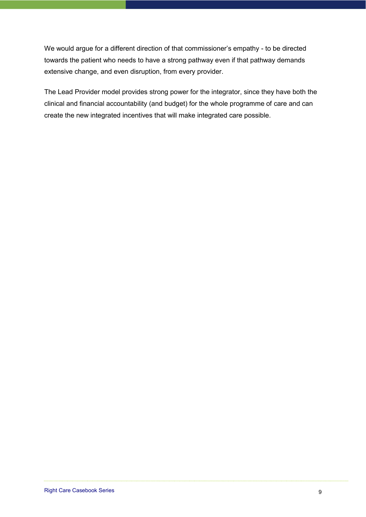We would argue for a different direction of that commissioner's empathy - to be directed towards the patient who needs to have a strong pathway even if that pathway demands extensive change, and even disruption, from every provider.

The Lead Provider model provides strong power for the integrator, since they have both the clinical and financial accountability (and budget) for the whole programme of care and can create the new integrated incentives that will make integrated care possible.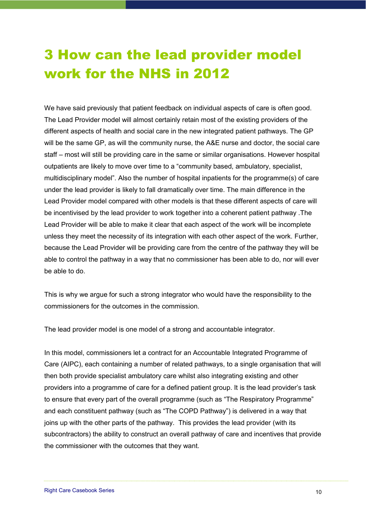## 3 How can the lead provider model work for the NHS in 2012

We have said previously that patient feedback on individual aspects of care is often good. The Lead Provider model will almost certainly retain most of the existing providers of the different aspects of health and social care in the new integrated patient pathways. The GP will be the same GP, as will the community nurse, the A&E nurse and doctor, the social care staff – most will still be providing care in the same or similar organisations. However hospital outpatients are likely to move over time to a "community based, ambulatory, specialist, multidisciplinary model". Also the number of hospital inpatients for the programme(s) of care under the lead provider is likely to fall dramatically over time. The main difference in the Lead Provider model compared with other models is that these different aspects of care will be incentivised by the lead provider to work together into a coherent patient pathway .The Lead Provider will be able to make it clear that each aspect of the work will be incomplete unless they meet the necessity of its integration with each other aspect of the work. Further, because the Lead Provider will be providing care from the centre of the pathway they will be able to control the pathway in a way that no commissioner has been able to do, nor will ever be able to do.

This is why we argue for such a strong integrator who would have the responsibility to the commissioners for the outcomes in the commission.

The lead provider model is one model of a strong and accountable integrator.

In this model, commissioners let a contract for an Accountable Integrated Programme of Care (AIPC), each containing a number of related pathways, to a single organisation that will then both provide specialist ambulatory care whilst also integrating existing and other providers into a programme of care for a defined patient group. It is the lead provider's task to ensure that every part of the overall programme (such as "The Respiratory Programme" and each constituent pathway (such as "The COPD Pathway") is delivered in a way that joins up with the other parts of the pathway. This provides the lead provider (with its subcontractors) the ability to construct an overall pathway of care and incentives that provide the commissioner with the outcomes that they want.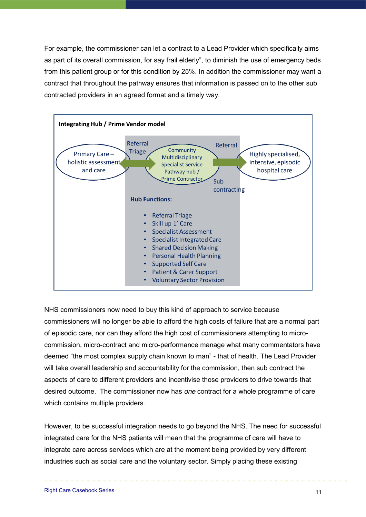For example, the commissioner can let a contract to a Lead Provider which specifically aims as part of its overall commission, for say frail elderly", to diminish the use of emergency beds from this patient group or for this condition by 25%. In addition the commissioner may want a contract that throughout the pathway ensures that information is passed on to the other sub contracted providers in an agreed format and a timely way.



NHS commissioners now need to buy this kind of approach to service because commissioners will no longer be able to afford the high costs of failure that are a normal part of episodic care, nor can they afford the high cost of commissioners attempting to microcommission, micro-contract and micro-performance manage what many commentators have deemed "the most complex supply chain known to man" - that of health. The Lead Provider will take overall leadership and accountability for the commission, then sub contract the aspects of care to different providers and incentivise those providers to drive towards that desired outcome. The commissioner now has *one* contract for a whole programme of care which contains multiple providers.

However, to be successful integration needs to go beyond the NHS. The need for successful integrated care for the NHS patients will mean that the programme of care will have to integrate care across services which are at the moment being provided by very different industries such as social care and the voluntary sector. Simply placing these existing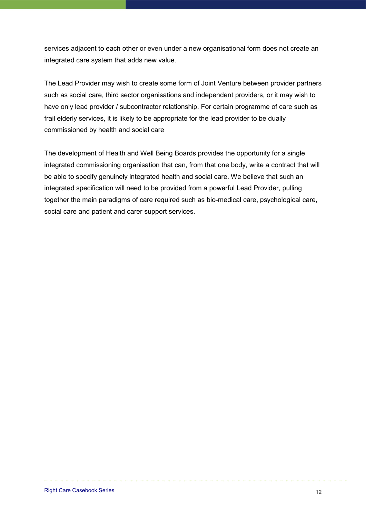services adjacent to each other or even under a new organisational form does not create an integrated care system that adds new value.

The Lead Provider may wish to create some form of Joint Venture between provider partners such as social care, third sector organisations and independent providers, or it may wish to have only lead provider / subcontractor relationship. For certain programme of care such as frail elderly services, it is likely to be appropriate for the lead provider to be dually commissioned by health and social care

The development of Health and Well Being Boards provides the opportunity for a single integrated commissioning organisation that can, from that one body, write a contract that will be able to specify genuinely integrated health and social care. We believe that such an integrated specification will need to be provided from a powerful Lead Provider, pulling together the main paradigms of care required such as bio-medical care, psychological care, social care and patient and carer support services.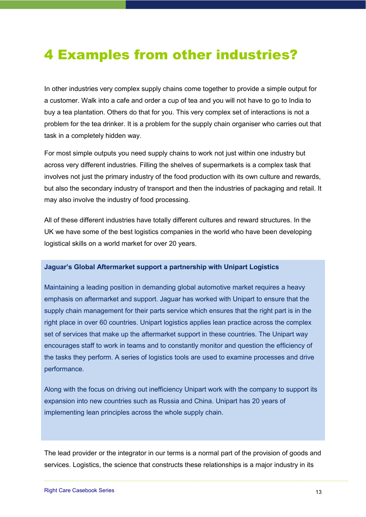### 4 Examples from other industries?

In other industries very complex supply chains come together to provide a simple output for a customer. Walk into a cafe and order a cup of tea and you will not have to go to India to buy a tea plantation. Others do that for you. This very complex set of interactions is not a problem for the tea drinker. It is a problem for the supply chain organiser who carries out that task in a completely hidden way.

For most simple outputs you need supply chains to work not just within one industry but across very different industries. Filling the shelves of supermarkets is a complex task that involves not just the primary industry of the food production with its own culture and rewards, but also the secondary industry of transport and then the industries of packaging and retail. It may also involve the industry of food processing.

All of these different industries have totally different cultures and reward structures. In the UK we have some of the best logistics companies in the world who have been developing logistical skills on a world market for over 20 years.

#### **Jaquar's Global Aftermarket support a partnership with Unipart Logistics**

Maintaining a leading position in demanding global automotive market requires a heavy emphasis on aftermarket and support. Jaguar has worked with Unipart to ensure that the supply chain management for their parts service which ensures that the right part is in the right place in over 60 countries. Unipart logistics applies lean practice across the complex set of services that make up the aftermarket support in these countries. The Unipart way encourages staff to work in teams and to constantly monitor and question the efficiency of the tasks they perform. A series of logistics tools are used to examine processes and drive performance.

Along with the focus on driving out inefficiency Unipart work with the company to support its expansion into new countries such as Russia and China. Unipart has 20 years of implementing lean principles across the whole supply chain.

The lead provider or the integrator in our terms is a normal part of the provision of goods and services. Logistics, the science that constructs these relationships is a major industry in its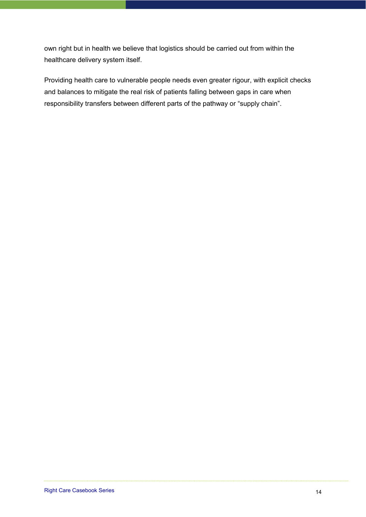own right but in health we believe that logistics should be carried out from within the healthcare delivery system itself.

Providing health care to vulnerable people needs even greater rigour, with explicit checks and balances to mitigate the real risk of patients falling between gaps in care when responsibility transfers between different parts of the pathway or "supply chain".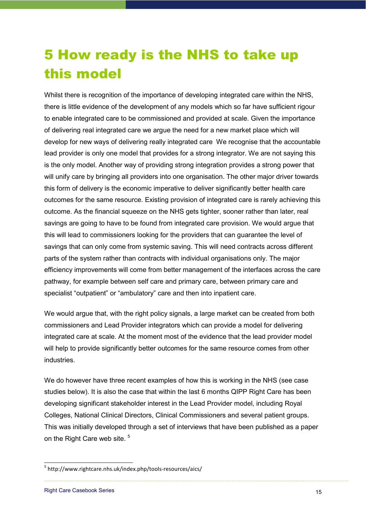## 5 How ready is the NHS to take up this model

Whilst there is recognition of the importance of developing integrated care within the NHS, there is little evidence of the development of any models which so far have sufficient rigour to enable integrated care to be commissioned and provided at scale. Given the importance of delivering real integrated care we argue the need for a new market place which will develop for new ways of delivering really integrated care We recognise that the accountable lead provider is only one model that provides for a strong integrator. We are not saying this is the only model. Another way of providing strong integration provides a strong power that will unify care by bringing all providers into one organisation. The other major driver towards this form of delivery is the economic imperative to deliver significantly better health care outcomes for the same resource. Existing provision of integrated care is rarely achieving this outcome. As the financial squeeze on the NHS gets tighter, sooner rather than later, real savings are going to have to be found from integrated care provision. We would argue that this will lead to commissioners looking for the providers that can guarantee the level of savings that can only come from systemic saving. This will need contracts across different parts of the system rather than contracts with individual organisations only. The major efficiency improvements will come from better management of the interfaces across the care pathway, for example between self care and primary care, between primary care and specialist "outpatient" or "ambulatory" care and then into inpatient care.

We would argue that, with the right policy signals, a large market can be created from both commissioners and Lead Provider integrators which can provide a model for delivering integrated care at scale. At the moment most of the evidence that the lead provider model will help to provide significantly better outcomes for the same resource comes from other industries.

We do however have three recent examples of how this is working in the NHS (see case studies below). It is also the case that within the last 6 months QIPP Right Care has been developing significant stakeholder interest in the Lead Provider model, including Royal Colleges, National Clinical Directors, Clinical Commissioners and several patient groups. This was initially developed through a set of interviews that have been published as a paper on the Right Care web site.<sup>5</sup>

<sup>&</sup>lt;sup>5</sup> http://www.rightcare.nhs.uk/index.php/tools-resources/aics/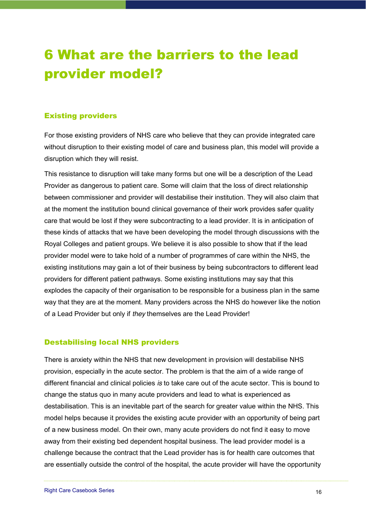## 6 What are the barriers to the lead provider model?

### Existing providers

For those existing providers of NHS care who believe that they can provide integrated care without disruption to their existing model of care and business plan, this model will provide a disruption which they will resist.

This resistance to disruption will take many forms but one will be a description of the Lead Provider as dangerous to patient care. Some will claim that the loss of direct relationship between commissioner and provider will destabilise their institution. They will also claim that at the moment the institution bound clinical governance of their work provides safer quality care that would be lost if they were subcontracting to a lead provider. It is in anticipation of these kinds of attacks that we have been developing the model through discussions with the Royal Colleges and patient groups. We believe it is also possible to show that if the lead provider model were to take hold of a number of programmes of care within the NHS, the existing institutions may gain a lot of their business by being subcontractors to different lead providers for different patient pathways. Some existing institutions may say that this explodes the capacity of their organisation to be responsible for a business plan in the same way that they are at the moment. Many providers across the NHS do however like the notion of a Lead Provider but only if *they* themselves are the Lead Provider!

#### Destabilising local NHS providers

There is anxiety within the NHS that new development in provision will destabilise NHS provision, especially in the acute sector. The problem is that the aim of a wide range of different financial and clinical policies *is* to take care out of the acute sector. This is bound to change the status quo in many acute providers and lead to what is experienced as destabilisation. This is an inevitable part of the search for greater value within the NHS. This model helps because it provides the existing acute provider with an opportunity of being part of a new business model. On their own, many acute providers do not find it easy to move away from their existing bed dependent hospital business. The lead provider model is a challenge because the contract that the Lead provider has is for health care outcomes that are essentially outside the control of the hospital, the acute provider will have the opportunity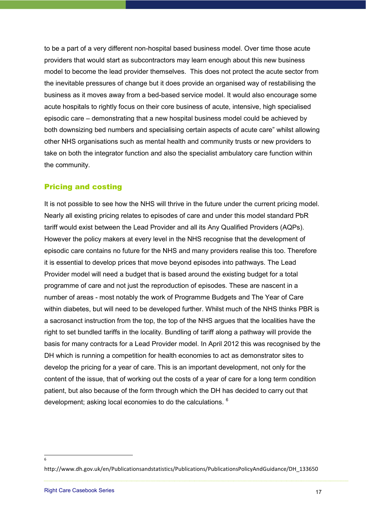to be a part of a very different non-hospital based business model. Over time those acute providers that would start as subcontractors may learn enough about this new business model to become the lead provider themselves. This does not protect the acute sector from the inevitable pressures of change but it does provide an organised way of restabilising the business as it moves away from a bed-based service model. It would also encourage some acute hospitals to rightly focus on their core business of acute, intensive, high specialised episodic care – demonstrating that a new hospital business model could be achieved by both downsizing bed numbers and specialising certain aspects of acute care" whilst allowing other NHS organisations such as mental health and community trusts or new providers to take on both the integrator function and also the specialist ambulatory care function within the community.

#### Pricing and costing

It is not possible to see how the NHS will thrive in the future under the current pricing model. Nearly all existing pricing relates to episodes of care and under this model standard PbR tariff would exist between the Lead Provider and all its Any Qualified Providers (AQPs). However the policy makers at every level in the NHS recognise that the development of episodic care contains no future for the NHS and many providers realise this too. Therefore it is essential to develop prices that move beyond episodes into pathways. The Lead Provider model will need a budget that is based around the existing budget for a total programme of care and not just the reproduction of episodes. These are nascent in a number of areas - most notably the work of Programme Budgets and The Year of Care within diabetes, but will need to be developed further. Whilst much of the NHS thinks PBR is a sacrosanct instruction from the top, the top of the NHS argues that the localities have the right to set bundled tariffs in the locality. Bundling of tariff along a pathway will provide the basis for many contracts for a Lead Provider model. In April 2012 this was recognised by the DH which is running a competition for health economies to act as demonstrator sites to develop the pricing for a year of care. This is an important development, not only for the content of the issue, that of working out the costs of a year of care for a long term condition patient, but also because of the form through which the DH has decided to carry out that development; asking local economies to do the calculations. <sup>6</sup>

6

http://www.dh.gov.uk/en/Publicationsandstatistics/Publications/PublicationsPolicyAndGuidance/DH\_133650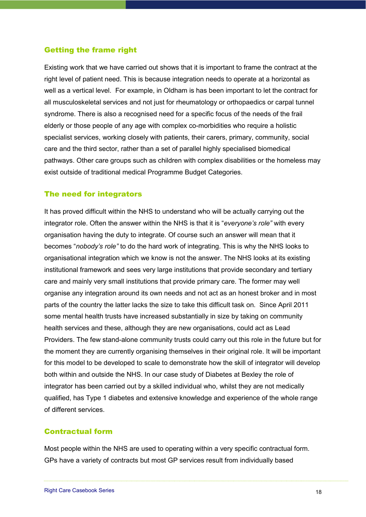#### Getting the frame right

Existing work that we have carried out shows that it is important to frame the contract at the right level of patient need. This is because integration needs to operate at a horizontal as well as a vertical level. For example, in Oldham is has been important to let the contract for all musculoskeletal services and not just for rheumatology or orthopaedics or carpal tunnel syndrome. There is also a recognised need for a specific focus of the needs of the frail elderly or those people of any age with complex co-morbidities who require a holistic specialist services, working closely with patients, their carers, primary, community, social care and the third sector, rather than a set of parallel highly specialised biomedical pathways. Other care groups such as children with complex disabilities or the homeless may exist outside of traditional medical Programme Budget Categories.

#### The need for integrators

It has proved difficult within the NHS to understand who will be actually carrying out the integrator role. Often the answer within the NHS is that it is "*everyone's role*" with every organisation having the duty to integrate. Of course such an answer will mean that it becomes "*nobody's role*" to do the hard work of integrating. This is why the NHS looks to organisational integration which we know is not the answer. The NHS looks at its existing institutional framework and sees very large institutions that provide secondary and tertiary care and mainly very small institutions that provide primary care. The former may well organise any integration around its own needs and not act as an honest broker and in most parts of the country the latter lacks the size to take this difficult task on. Since April 2011 some mental health trusts have increased substantially in size by taking on community health services and these, although they are new organisations, could act as Lead Providers. The few stand-alone community trusts could carry out this role in the future but for the moment they are currently organising themselves in their original role. It will be important for this model to be developed to scale to demonstrate how the skill of integrator will develop both within and outside the NHS. In our case study of Diabetes at Bexley the role of integrator has been carried out by a skilled individual who, whilst they are not medically qualified, has Type 1 diabetes and extensive knowledge and experience of the whole range of different services.

#### Contractual form

Most people within the NHS are used to operating within a very specific contractual form. GPs have a variety of contracts but most GP services result from individually based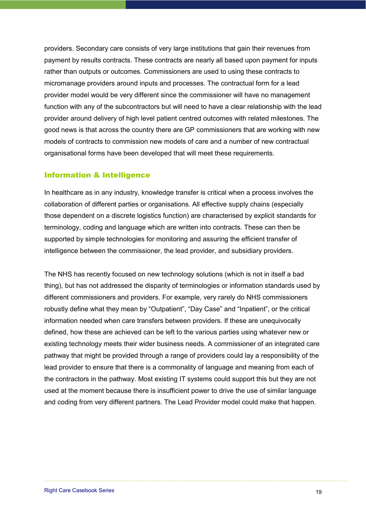providers. Secondary care consists of very large institutions that gain their revenues from payment by results contracts. These contracts are nearly all based upon payment for inputs rather than outputs or outcomes. Commissioners are used to using these contracts to micromanage providers around inputs and processes. The contractual form for a lead provider model would be very different since the commissioner will have no management function with any of the subcontractors but will need to have a clear relationship with the lead provider around delivery of high level patient centred outcomes with related milestones. The good news is that across the country there are GP commissioners that are working with new models of contracts to commission new models of care and a number of new contractual organisational forms have been developed that will meet these requirements.

#### Information & Intelligence

In healthcare as in any industry, knowledge transfer is critical when a process involves the collaboration of different parties or organisations. All effective supply chains (especially those dependent on a discrete logistics function) are characterised by explicit standards for terminology, coding and language which are written into contracts. These can then be supported by simple technologies for monitoring and assuring the efficient transfer of intelligence between the commissioner, the lead provider, and subsidiary providers.

The NHS has recently focused on new technology solutions (which is not in itself a bad thing), but has not addressed the disparity of terminologies or information standards used by different commissioners and providers. For example, very rarely do NHS commissioners robustly define what they mean by "Outpatient", "Day Case" and "Inpatient", or the critical information needed when care transfers between providers. If these are unequivocally defined, how these are achieved can be left to the various parties using whatever new or existing technology meets their wider business needs. A commissioner of an integrated care pathway that might be provided through a range of providers could lay a responsibility of the lead provider to ensure that there is a commonality of language and meaning from each of the contractors in the pathway. Most existing IT systems could support this but they are not used at the moment because there is insufficient power to drive the use of similar language and coding from very different partners. The Lead Provider model could make that happen.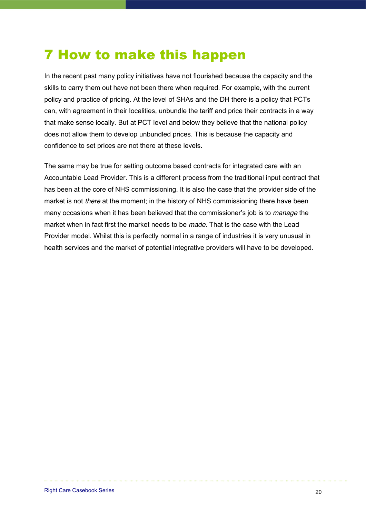### 7 How to make this happen

In the recent past many policy initiatives have not flourished because the capacity and the skills to carry them out have not been there when required. For example, with the current policy and practice of pricing. At the level of SHAs and the DH there is a policy that PCTs can, with agreement in their localities, unbundle the tariff and price their contracts in a way that make sense locally. But at PCT level and below they believe that the national policy does not allow them to develop unbundled prices. This is because the capacity and confidence to set prices are not there at these levels.

The same may be true for setting outcome based contracts for integrated care with an Accountable Lead Provider. This is a different process from the traditional input contract that has been at the core of NHS commissioning. It is also the case that the provider side of the market is not *there* at the moment; in the history of NHS commissioning there have been many occasions when it has been believed that the commissioner's job is to *manage* the market when in fact first the market needs to be *made*. That is the case with the Lead Provider model. Whilst this is perfectly normal in a range of industries it is very unusual in health services and the market of potential integrative providers will have to be developed.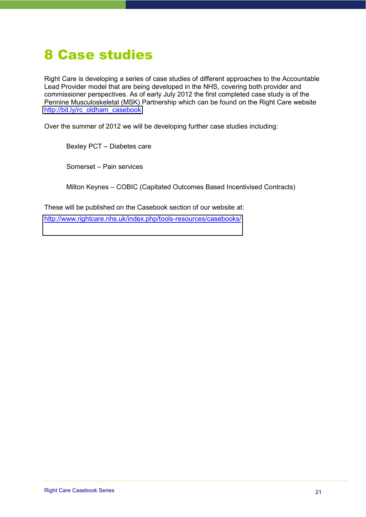### 8 Case studies

Right Care is developing a series of case studies of different approaches to the Accountable Lead Provider model that are being developed in the NHS, covering both provider and commissioner perspectives. As of early July 2012 the first completed case study is of the Pennine Musculoskeletal (MSK) Partnership which can be found on the Right Care website [http://bit.ly/rc\\_oldham\\_casebook](http://bit.ly/rc_oldham_casebook)

Over the summer of 2012 we will be developing further case studies including:

Bexley PCT - Diabetes care

Somerset - Pain services

Milton Keynes - COBIC (Capitated Outcomes Based Incentivised Contracts)

These will be published on the Casebook section of our website at: <http://www.rightcare.nhs.uk/index.php/tools-resources/casebooks/>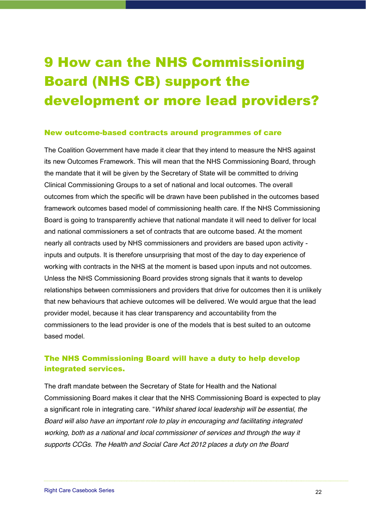# 9 How can the NHS Commissioning Board (NHS CB) support the development or more lead providers?

#### New outcome-based contracts around programmes of care

The Coalition Government have made it clear that they intend to measure the NHS against its new Outcomes Framework. This will mean that the NHS Commissioning Board, through the mandate that it will be given by the Secretary of State will be committed to driving Clinical Commissioning Groups to a set of national and local outcomes. The overall outcomes from which the specific will be drawn have been published in the outcomes based framework outcomes based model of commissioning health care. If the NHS Commissioning Board is going to transparently achieve that national mandate it will need to deliver for local and national commissioners a set of contracts that are outcome based. At the moment nearly all contracts used by NHS commissioners and providers are based upon activity inputs and outputs. It is therefore unsurprising that most of the day to day experience of working with contracts in the NHS at the moment is based upon inputs and not outcomes. Unless the NHS Commissioning Board provides strong signals that it wants to develop relationships between commissioners and providers that drive for outcomes then it is unlikely that new behaviours that achieve outcomes will be delivered. We would argue that the lead provider model, because it has clear transparency and accountability from the commissioners to the lead provider is one of the models that is best suited to an outcome based model.

### The NHS Commissioning Board will have a duty to help develop integrated services.

The draft mandate between the Secretary of State for Health and the National Commissioning Board makes it clear that the NHS Commissioning Board is expected to play a significant role in integrating care. "Whilst shared local leadership will be essential, the *Board will also have an important role to play in encouraging and facilitating integrated working, both as a national and local commissioner of services and through the way it supports CCGs. The Health and Social Care Act 2012 places a duty on the Board*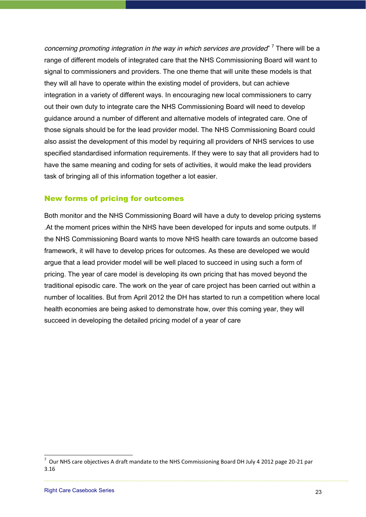*concerning promoting integration in the way in which services are provided*<sup>7</sup> There will be a range of different models of integrated care that the NHS Commissioning Board will want to signal to commissioners and providers. The one theme that will unite these models is that they will all have to operate within the existing model of providers, but can achieve integration in a variety of different ways. In encouraging new local commissioners to carry out their own duty to integrate care the NHS Commissioning Board will need to develop guidance around a number of different and alternative models of integrated care. One of those signals should be for the lead provider model. The NHS Commissioning Board could also assist the development of this model by requiring all providers of NHS services to use specified standardised information requirements. If they were to say that all providers had to have the same meaning and coding for sets of activities, it would make the lead providers task of bringing all of this information together a lot easier.

#### New forms of pricing for outcomes

Both monitor and the NHS Commissioning Board will have a duty to develop pricing systems .At the moment prices within the NHS have been developed for inputs and some outputs. If the NHS Commissioning Board wants to move NHS health care towards an outcome based framework, it will have to develop prices for outcomes. As these are developed we would argue that a lead provider model will be well placed to succeed in using such a form of pricing. The year of care model is developing its own pricing that has moved beyond the traditional episodic care. The work on the year of care project has been carried out within a number of localities. But from April 2012 the DH has started to run a competition where local health economies are being asked to demonstrate how, over this coming year, they will succeed in developing the detailed pricing model of a year of care

7 !!Our!NHS!care!objectives!A!draft!mandate!to!the!NHS!Commissioning!Board!DH!July!4!2012!page!20?21!par! 3.16